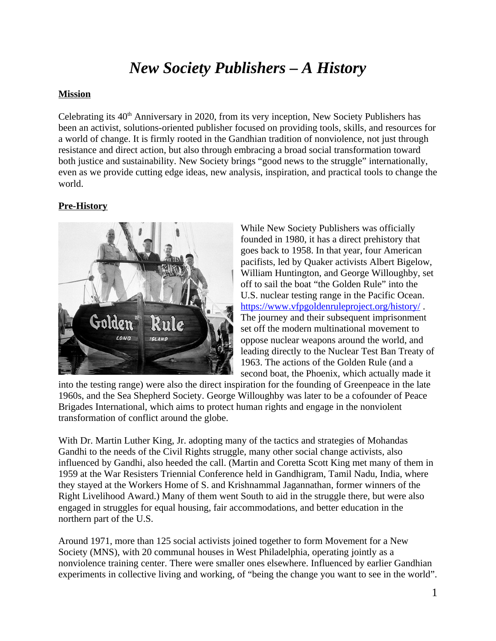# *New Society Publishers – A History*

## **Mission**

Celebrating its  $40<sup>th</sup>$  Anniversary in 2020, from its very inception, New Society Publishers has been an activist, solutions-oriented publisher focused on providing tools, skills, and resources for a world of change. It is firmly rooted in the Gandhian tradition of nonviolence, not just through resistance and direct action, but also through embracing a broad social transformation toward both justice and sustainability. New Society brings "good news to the struggle" internationally, even as we provide cutting edge ideas, new analysis, inspiration, and practical tools to change the world.

# **Pre-History**



While New Society Publishers was officially founded in 1980, it has a direct prehistory that goes back to 1958. In that year, four American pacifists, led by Quaker activists Albert Bigelow, William Huntington, and George Willoughby, set off to sail the boat "the Golden Rule" into the U.S. nuclear testing range in the Pacific Ocean. <https://www.vfpgoldenruleproject.org/history/> . The journey and their subsequent imprisonment set off the modern multinational movement to oppose nuclear weapons around the world, and leading directly to the Nuclear Test Ban Treaty of 1963. The actions of the Golden Rule (and a second boat, the Phoenix, which actually made it

into the testing range) were also the direct inspiration for the founding of Greenpeace in the late 1960s, and the Sea Shepherd Society. George Willoughby was later to be a cofounder of Peace Brigades International, which aims to protect human rights and engage in the nonviolent transformation of conflict around the globe.

With Dr. Martin Luther King, Jr. adopting many of the tactics and strategies of Mohandas Gandhi to the needs of the Civil Rights struggle, many other social change activists, also influenced by Gandhi, also heeded the call. (Martin and Coretta Scott King met many of them in 1959 at the War Resisters Triennial Conference held in Gandhigram, Tamil Nadu, India, where they stayed at the Workers Home of S. and Krishnammal Jagannathan, former winners of the Right Livelihood Award.) Many of them went South to aid in the struggle there, but were also engaged in struggles for equal housing, fair accommodations, and better education in the northern part of the U.S.

Around 1971, more than 125 social activists joined together to form Movement for a New Society (MNS), with 20 communal houses in West Philadelphia, operating jointly as a nonviolence training center. There were smaller ones elsewhere. Influenced by earlier Gandhian experiments in collective living and working, of "being the change you want to see in the world".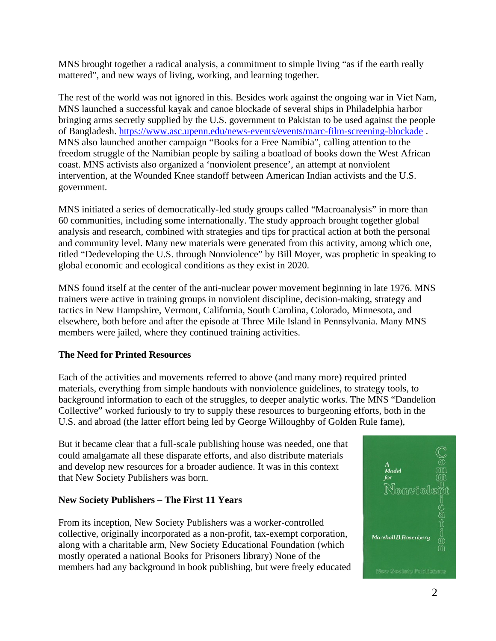MNS brought together a radical analysis, a commitment to simple living "as if the earth really mattered", and new ways of living, working, and learning together.

The rest of the world was not ignored in this. Besides work against the ongoing war in Viet Nam, MNS launched a successful kayak and canoe blockade of several ships in Philadelphia harbor bringing arms secretly supplied by the U.S. government to Pakistan to be used against the people of Bangladesh.<https://www.asc.upenn.edu/news-events/events/marc-film-screening-blockade>. MNS also launched another campaign "Books for a Free Namibia", calling attention to the freedom struggle of the Namibian people by sailing a boatload of books down the West African coast. MNS activists also organized a 'nonviolent presence', an attempt at nonviolent intervention, at the Wounded Knee standoff between American Indian activists and the U.S. government.

MNS initiated a series of democratically-led study groups called "Macroanalysis" in more than 60 communities, including some internationally. The study approach brought together global analysis and research, combined with strategies and tips for practical action at both the personal and community level. Many new materials were generated from this activity, among which one, titled "Dedeveloping the U.S. through Nonviolence" by Bill Moyer, was prophetic in speaking to global economic and ecological conditions as they exist in 2020.

MNS found itself at the center of the anti-nuclear power movement beginning in late 1976. MNS trainers were active in training groups in nonviolent discipline, decision-making, strategy and tactics in New Hampshire, Vermont, California, South Carolina, Colorado, Minnesota, and elsewhere, both before and after the episode at Three Mile Island in Pennsylvania. Many MNS members were jailed, where they continued training activities.

## **The Need for Printed Resources**

Each of the activities and movements referred to above (and many more) required printed materials, everything from simple handouts with nonviolence guidelines, to strategy tools, to background information to each of the struggles, to deeper analytic works. The MNS "Dandelion Collective" worked furiously to try to supply these resources to burgeoning efforts, both in the U.S. and abroad (the latter effort being led by George Willoughby of Golden Rule fame),

But it became clear that a full-scale publishing house was needed, one that could amalgamate all these disparate efforts, and also distribute materials and develop new resources for a broader audience. It was in this context that New Society Publishers was born.

#### **New Society Publishers – The First 11 Years**

From its inception, New Society Publishers was a worker-controlled collective, originally incorporated as a non-profit, tax-exempt corporation, along with a charitable arm, New Society Educational Foundation (which mostly operated a national Books for Prisoners library) None of the members had any background in book publishing, but were freely educated

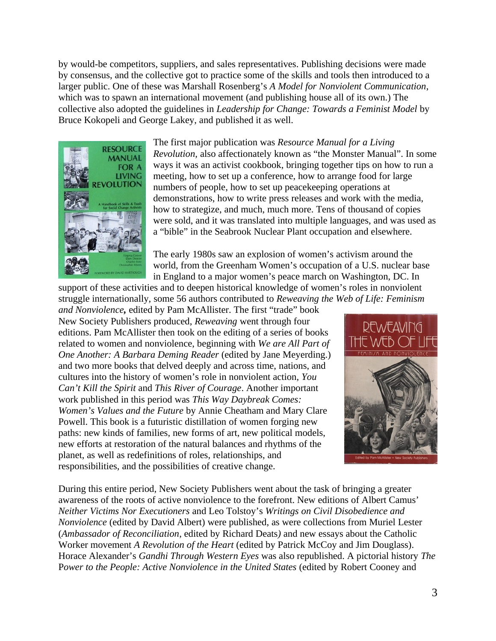by would-be competitors, suppliers, and sales representatives. Publishing decisions were made by consensus, and the collective got to practice some of the skills and tools then introduced to a larger public. One of these was Marshall Rosenberg's *A Model for Nonviolent Communication*, which was to spawn an international movement (and publishing house all of its own.) The collective also adopted the guidelines in *Leadership for Change: Towards a Feminist Model* by Bruce Kokopeli and George Lakey, and published it as well.



The first major publication was *Resource Manual for a Living Revolution,* also affectionately known as "the Monster Manual". In some ways it was an activist cookbook, bringing together tips on how to run a meeting, how to set up a conference, how to arrange food for large numbers of people, how to set up peacekeeping operations at demonstrations, how to write press releases and work with the media, how to strategize, and much, much more. Tens of thousand of copies were sold, and it was translated into multiple languages, and was used as a "bible" in the Seabrook Nuclear Plant occupation and elsewhere.

The early 1980s saw an explosion of women's activism around the world, from the Greenham Women's occupation of a U.S. nuclear base in England to a major women's peace march on Washington, DC. In

support of these activities and to deepen historical knowledge of women's roles in nonviolent struggle internationally, some 56 authors contributed to *Reweaving the Web of Life: Feminism and Nonviolence,* edited by Pam McAllister. The first "trade" book

New Society Publishers produced, *Reweaving* went through four editions. Pam McAllister then took on the editing of a series of books related to women and nonviolence, beginning with *We are All Part of One Another: A Barbara Deming Reader* (edited by Jane Meyerding.) and two more books that delved deeply and across time, nations, and cultures into the history of women's role in nonviolent action, *You Can't Kill the Spirit* and *This River of Courage*. Another important work published in this period was *This Way Daybreak Comes: Women's Values and the Future* by Annie Cheatham and Mary Clare Powell. This book is a futuristic distillation of women forging new paths: new kinds of families, new forms of art, new political models, new efforts at restoration of the natural balances and rhythms of the planet, as well as redefinitions of roles, relationships, and responsibilities, and the possibilities of creative change.



During this entire period, New Society Publishers went about the task of bringing a greater awareness of the roots of active nonviolence to the forefront. New editions of Albert Camus' *Neither Victims Nor Executioners* and Leo Tolstoy's *Writings on Civil Disobedience and Nonviolence* (edited by David Albert) were published, as were collections from Muriel Lester (*Ambassador of Reconciliation*, edited by Richard Deats*)* and new essays about the Catholic Worker movement *A Revolution of the Heart* (edited by Patrick McCoy and Jim Douglass). Horace Alexander's *Gandhi Through Western Eyes* was also republished. A pictorial history *The* Power to the People: Active Nonviolence in the United States (edited by Robert Cooney and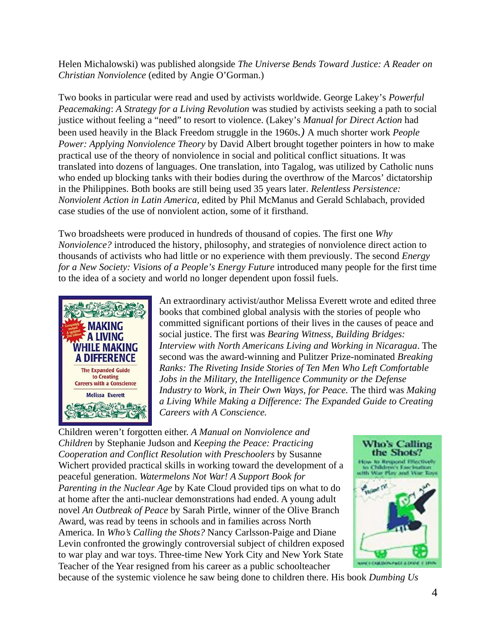Helen Michalowski) was published alongside *The Universe Bends Toward Justice: A Reader on Christian Nonviolence* (edited by Angie O'Gorman.)

Two books in particular were read and used by activists worldwide. George Lakey's *Powerful Peacemaking*: *A Strategy for a Living Revolution* was studied by activists seeking a path to social justice without feeling a "need" to resort to violence. (Lakey's *Manual for Direct Action* had been used heavily in the Black Freedom struggle in the 1960s*.)* A much shorter work *People Power: Applying Nonviolence Theory* by David Albert brought together pointers in how to make practical use of the theory of nonviolence in social and political conflict situations. It was translated into dozens of languages. One translation, into Tagalog, was utilized by Catholic nuns who ended up blocking tanks with their bodies during the overthrow of the Marcos' dictatorship in the Philippines. Both books are still being used 35 years later. *Relentless Persistence: Nonviolent Action in Latin America,* edited by Phil McManus and Gerald Schlabach, provided case studies of the use of nonviolent action, some of it firsthand.

Two broadsheets were produced in hundreds of thousand of copies. The first one *Why Nonviolence?* introduced the history, philosophy, and strategies of nonviolence direct action to thousands of activists who had little or no experience with them previously. The second *Energy for a New Society: Visions of a People's Energy Future* introduced many people for the first time to the idea of a society and world no longer dependent upon fossil fuels.



An extraordinary activist/author Melissa Everett wrote and edited three books that combined global analysis with the stories of people who committed significant portions of their lives in the causes of peace and social justice. The first was *Bearing Witness, Building Bridges: Interview with North Americans Living and Working in Nicaragua*. The second was the award-winning and Pulitzer Prize-nominated *Breaking Ranks: The Riveting Inside Stories of Ten Men Who Left Comfortable Jobs in the Military, the Intelligence Community or the Defense Industry to Work, in Their Own Ways, for Peace.* The third was *Making a Living While Making a Difference: The Expanded Guide to Creating Careers with A Conscience.*

Children weren't forgotten either. *A Manual on Nonviolence and Children* by Stephanie Judson and *Keeping the Peace: Practicing Cooperation and Conflict Resolution with Preschoolers* by Susanne Wichert provided practical skills in working toward the development of a peaceful generation. *Watermelons Not War! A Support Book for Parenting in the Nuclear Age* by Kate Cloud provided tips on what to do at home after the anti-nuclear demonstrations had ended. A young adult novel *An Outbreak of Peace* by Sarah Pirtle, winner of the Olive Branch Award, was read by teens in schools and in families across North America. In *Who's Calling the Shots?* Nancy Carlsson-Paige and Diane Levin confronted the growingly controversial subject of children exposed to war play and war toys. Three-time New York City and New York State Teacher of the Year resigned from his career as a public schoolteacher



because of the systemic violence he saw being done to children there. His book *Dumbing Us*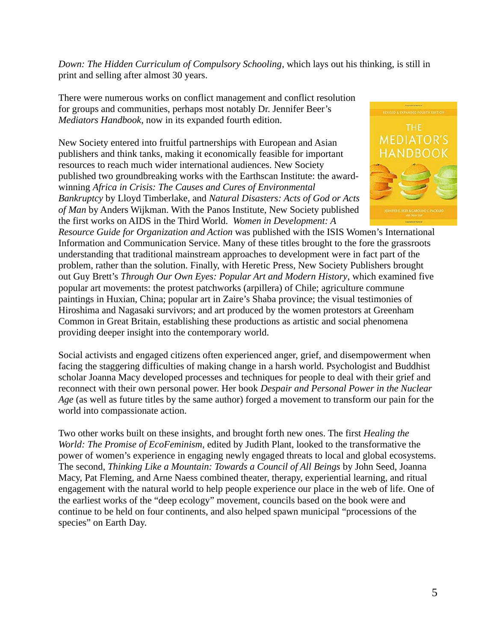*Down: The Hidden Curriculum of Compulsory Schooling*, which lays out his thinking, is still in print and selling after almost 30 years.

There were numerous works on conflict management and conflict resolution for groups and communities, perhaps most notably Dr. Jennifer Beer's *Mediators Handbook*, now in its expanded fourth edition.

New Society entered into fruitful partnerships with European and Asian publishers and think tanks, making it economically feasible for important resources to reach much wider international audiences. New Society published two groundbreaking works with the Earthscan Institute: the awardwinning *Africa in Crisis: The Causes and Cures of Environmental Bankruptcy* by Lloyd Timberlake, and *Natural Disasters: Acts of God or Acts of Man* by Anders Wijkman. With the Panos Institute, New Society published the first works on AIDS in the Third World. *Women in Development: A*



*Resource Guide for Organization and Action* was published with the ISIS Women's International Information and Communication Service. Many of these titles brought to the fore the grassroots understanding that traditional mainstream approaches to development were in fact part of the problem, rather than the solution. Finally, with Heretic Press, New Society Publishers brought out Guy Brett's *Through Our Own Eyes: Popular Art and Modern History*, which examined five popular art movements: the protest patchworks (arpillera) of Chile; agriculture commune paintings in Huxian, China; popular art in Zaire's Shaba province; the visual testimonies of Hiroshima and Nagasaki survivors; and art produced by the women protestors at Greenham Common in Great Britain, establishing these productions as artistic and social phenomena providing deeper insight into the contemporary world.

Social activists and engaged citizens often experienced anger, grief, and disempowerment when facing the staggering difficulties of making change in a harsh world. Psychologist and Buddhist scholar Joanna Macy developed processes and techniques for people to deal with their grief and reconnect with their own personal power. Her book *Despair and Personal Power in the Nuclear Age* (as well as future titles by the same author) forged a movement to transform our pain for the world into compassionate action.

Two other works built on these insights, and brought forth new ones. The first *Healing the World: The Promise of EcoFeminism,* edited by Judith Plant, looked to the transformative the power of women's experience in engaging newly engaged threats to local and global ecosystems. The second, *Thinking Like a Mountain: Towards a Council of All Beings* by John Seed, Joanna Macy, Pat Fleming, and Arne Naess combined theater, therapy, experiential learning, and ritual engagement with the natural world to help people experience our place in the web of life. One of the earliest works of the "deep ecology" movement, councils based on the book were and continue to be held on four continents, and also helped spawn municipal "processions of the species" on Earth Day.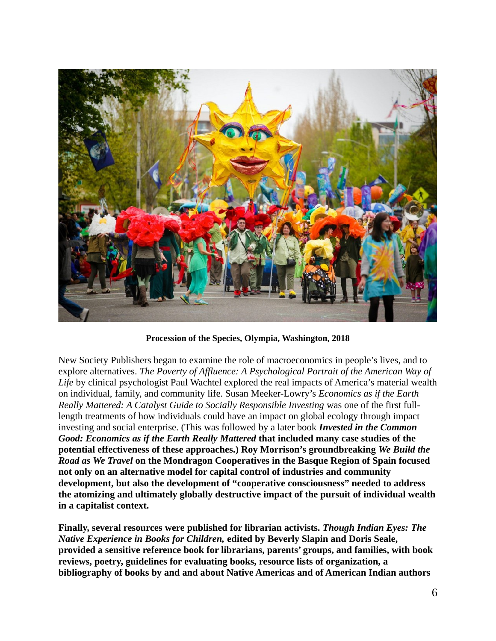

**Procession of the Species, Olympia, Washington, 2018**

New Society Publishers began to examine the role of macroeconomics in people's lives, and to explore alternatives. *The Poverty of Affluence: A Psychological Portrait of the American Way of Life* by clinical psychologist Paul Wachtel explored the real impacts of America's material wealth on individual, family, and community life. Susan Meeker-Lowry's *Economics as if the Earth Really Mattered: A Catalyst Guide to Socially Responsible Investing* was one of the first fulllength treatments of how individuals could have an impact on global ecology through impact investing and social enterprise. (This was followed by a later book *Invested in the Common Good: Economics as if the Earth Really Mattered* **that included many case studies of the potential effectiveness of these approaches.) Roy Morrison's groundbreaking** *We Build the Road as We Travel* **on the Mondragon Cooperatives in the Basque Region of Spain focused not only on an alternative model for capital control of industries and community development, but also the development of "cooperative consciousness" needed to address the atomizing and ultimately globally destructive impact of the pursuit of individual wealth in a capitalist context.**

**Finally, several resources were published for librarian activists.** *Though Indian Eyes: The Native Experience in Books for Children,* **edited by Beverly Slapin and Doris Seale, provided a sensitive reference book for librarians, parents' groups, and families, with book reviews, poetry, guidelines for evaluating books, resource lists of organization, a bibliography of books by and and about Native Americas and of American Indian authors**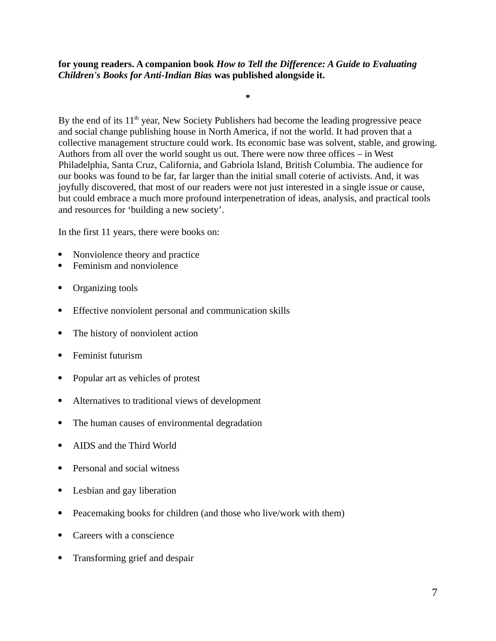**for young readers. A companion book** *How to Tell the Difference: A Guide to Evaluating Children's Books for Anti-Indian Bias* **was published alongside it.** 

By the end of its  $11<sup>th</sup>$  year, New Society Publishers had become the leading progressive peace and social change publishing house in North America, if not the world. It had proven that a collective management structure could work. Its economic base was solvent, stable, and growing. Authors from all over the world sought us out. There were now three offices – in West Philadelphia, Santa Cruz, California, and Gabriola Island, British Columbia. The audience for our books was found to be far, far larger than the initial small coterie of activists. And, it was joyfully discovered, that most of our readers were not just interested in a single issue or cause, but could embrace a much more profound interpenetration of ideas, analysis, and practical tools and resources for 'building a new society'.

**\***

In the first 11 years, there were books on:

- Nonviolence theory and practice
- Feminism and nonviolence
- Organizing tools
- Effective nonviolent personal and communication skills
- The history of nonviolent action
- Feminist futurism
- Popular art as vehicles of protest
- Alternatives to traditional views of development
- The human causes of environmental degradation
- AIDS and the Third World
- Personal and social witness
- Lesbian and gay liberation
- Peacemaking books for children (and those who live/work with them)
- Careers with a conscience
- Transforming grief and despair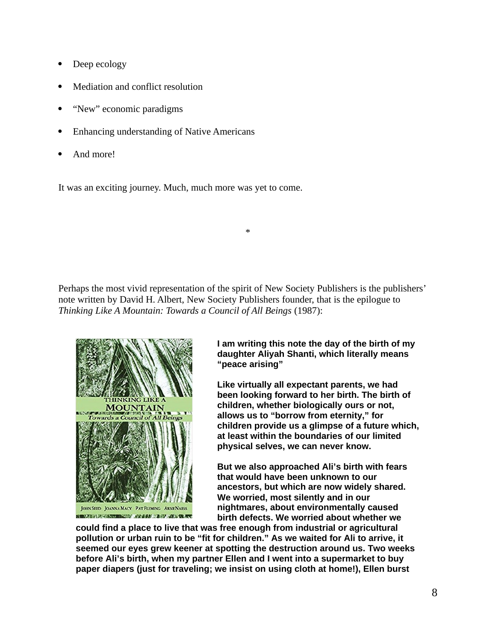- Deep ecology
- Mediation and conflict resolution
- "New" economic paradigms
- Enhancing understanding of Native Americans
- And more!

It was an exciting journey. Much, much more was yet to come.

Perhaps the most vivid representation of the spirit of New Society Publishers is the publishers' note written by David H. Albert, New Society Publishers founder, that is the epilogue to *Thinking Like A Mountain: Towards a Council of All Beings* (1987):

\*



**NAMES OF STRAIN COLUMN 2018 AND DESCRIPTIONS OF A REPORT OF A REPORT OF A REPORT OF A REPORT OF A REPORT OF A** 

**I am writing this note the day of the birth of my daughter Aliyah Shanti, which literally means "peace arising"**

**Like virtually all expectant parents, we had been looking forward to her birth. The birth of children, whether biologically ours or not, allows us to "borrow from eternity," for children provide us a glimpse of a future which, at least within the boundaries of our limited physical selves, we can never know.**

**But we also approached Ali's birth with fears that would have been unknown to our ancestors, but which are now widely shared. We worried, most silently and in our nightmares, about environmentally caused birth defects. We worried about whether we** 

**could find a place to live that was free enough from industrial or agricultural pollution or urban ruin to be "fit for children." As we waited for Ali to arrive, it seemed our eyes grew keener at spotting the destruction around us. Two weeks before Ali's birth, when my partner Ellen and I went into a supermarket to buy paper diapers (just for traveling; we insist on using cloth at home!), Ellen burst**